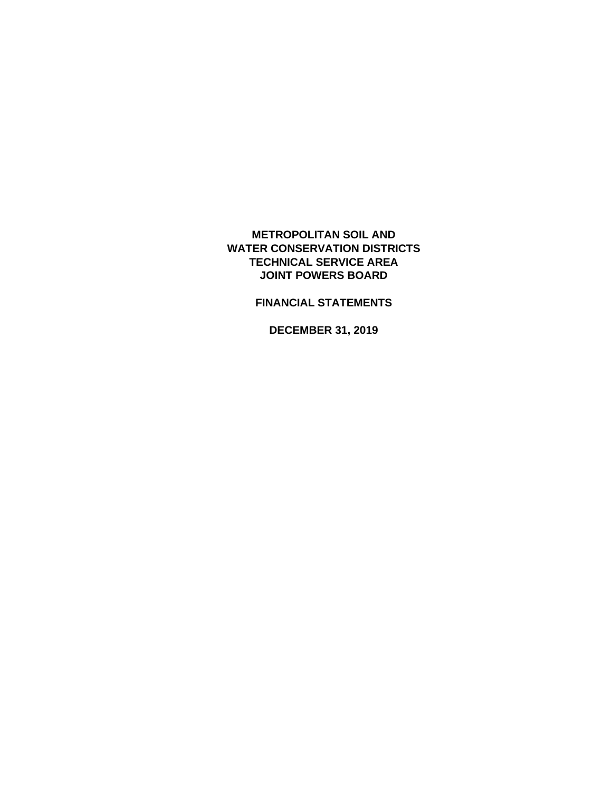**METROPOLITAN SOIL AND WATER CONSERVATION DISTRICTS TECHNICAL SERVICE AREA JOINT POWERS BOARD**

**FINANCIAL STATEMENTS**

**DECEMBER 31, 2019**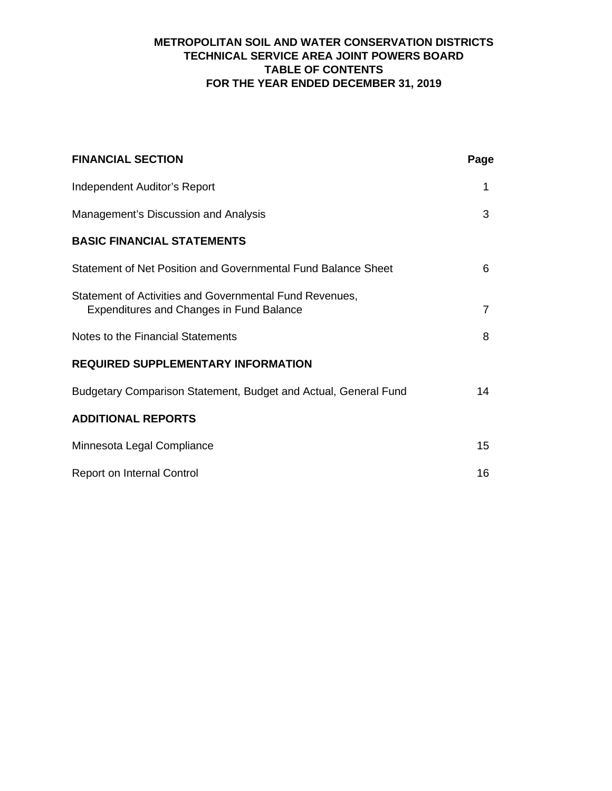# **METROPOLITAN SOIL AND WATER CONSERVATION DISTRICTS TECHNICAL SERVICE AREA JOINT POWERS BOARD TABLE OF CONTENTS FOR THE YEAR ENDED DECEMBER 31, 2019**

| <b>FINANCIAL SECTION</b>                                                                                   | Page            |
|------------------------------------------------------------------------------------------------------------|-----------------|
| Independent Auditor's Report                                                                               | 1               |
| Management's Discussion and Analysis                                                                       | 3               |
| <b>BASIC FINANCIAL STATEMENTS</b>                                                                          |                 |
| Statement of Net Position and Governmental Fund Balance Sheet                                              | 6               |
| Statement of Activities and Governmental Fund Revenues,<br><b>Expenditures and Changes in Fund Balance</b> | $\overline{7}$  |
| Notes to the Financial Statements                                                                          | 8               |
| <b>REQUIRED SUPPLEMENTARY INFORMATION</b>                                                                  |                 |
| Budgetary Comparison Statement, Budget and Actual, General Fund                                            | 14              |
| <b>ADDITIONAL REPORTS</b>                                                                                  |                 |
| Minnesota Legal Compliance                                                                                 | 15 <sub>1</sub> |
| <b>Report on Internal Control</b>                                                                          | 16              |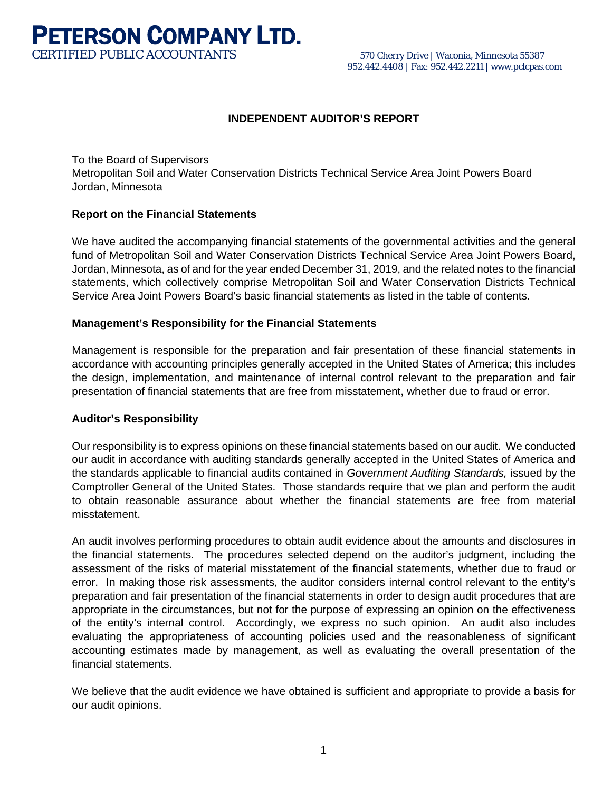**PETERSON COMPANY LTD.**<br>CERTIFIED PUBLIC ACCOUNTANTS 570 Cherry Drive | Waconia, Minnesota 55387 952.442.4408 | Fax: 952.442.2211 [| www.pclcpas.com](http://www.pclcpas.com/)

## **INDEPENDENT AUDITOR'S REPORT**

To the Board of Supervisors Metropolitan Soil and Water Conservation Districts Technical Service Area Joint Powers Board Jordan, Minnesota

#### **Report on the Financial Statements**

We have audited the accompanying financial statements of the governmental activities and the general fund of Metropolitan Soil and Water Conservation Districts Technical Service Area Joint Powers Board, Jordan, Minnesota, as of and for the year ended December 31, 2019, and the related notes to the financial statements, which collectively comprise Metropolitan Soil and Water Conservation Districts Technical Service Area Joint Powers Board's basic financial statements as listed in the table of contents.

#### **Management's Responsibility for the Financial Statements**

Management is responsible for the preparation and fair presentation of these financial statements in accordance with accounting principles generally accepted in the United States of America; this includes the design, implementation, and maintenance of internal control relevant to the preparation and fair presentation of financial statements that are free from misstatement, whether due to fraud or error.

#### **Auditor's Responsibility**

Our responsibility is to express opinions on these financial statements based on our audit. We conducted our audit in accordance with auditing standards generally accepted in the United States of America and the standards applicable to financial audits contained in *Government Auditing Standards,* issued by the Comptroller General of the United States. Those standards require that we plan and perform the audit to obtain reasonable assurance about whether the financial statements are free from material misstatement.

An audit involves performing procedures to obtain audit evidence about the amounts and disclosures in the financial statements. The procedures selected depend on the auditor's judgment, including the assessment of the risks of material misstatement of the financial statements, whether due to fraud or error. In making those risk assessments, the auditor considers internal control relevant to the entity's preparation and fair presentation of the financial statements in order to design audit procedures that are appropriate in the circumstances, but not for the purpose of expressing an opinion on the effectiveness of the entity's internal control. Accordingly, we express no such opinion. An audit also includes evaluating the appropriateness of accounting policies used and the reasonableness of significant accounting estimates made by management, as well as evaluating the overall presentation of the financial statements.

We believe that the audit evidence we have obtained is sufficient and appropriate to provide a basis for our audit opinions.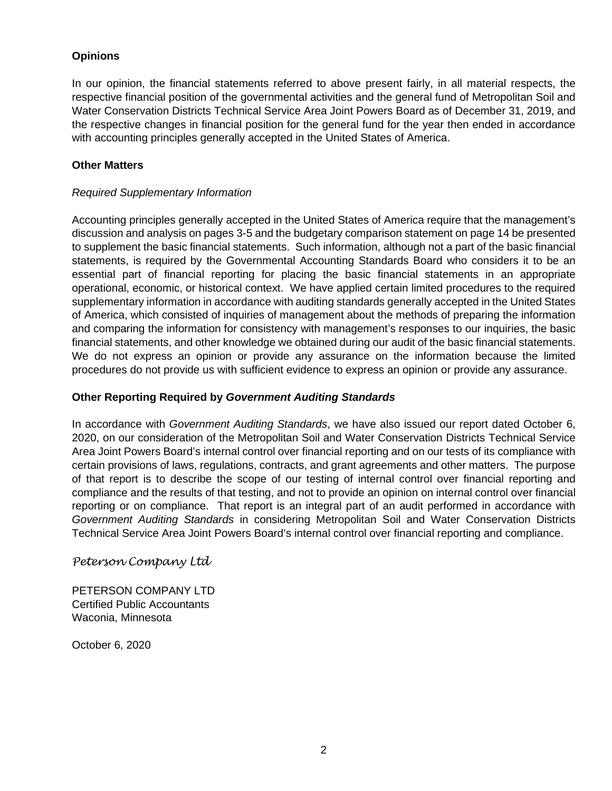## **Opinions**

In our opinion, the financial statements referred to above present fairly, in all material respects, the respective financial position of the governmental activities and the general fund of Metropolitan Soil and Water Conservation Districts Technical Service Area Joint Powers Board as of December 31, 2019, and the respective changes in financial position for the general fund for the year then ended in accordance with accounting principles generally accepted in the United States of America.

## **Other Matters**

#### *Required Supplementary Information*

Accounting principles generally accepted in the United States of America require that the management's discussion and analysis on pages 3-5 and the budgetary comparison statement on page 14 be presented to supplement the basic financial statements. Such information, although not a part of the basic financial statements, is required by the Governmental Accounting Standards Board who considers it to be an essential part of financial reporting for placing the basic financial statements in an appropriate operational, economic, or historical context. We have applied certain limited procedures to the required supplementary information in accordance with auditing standards generally accepted in the United States of America, which consisted of inquiries of management about the methods of preparing the information and comparing the information for consistency with management's responses to our inquiries, the basic financial statements, and other knowledge we obtained during our audit of the basic financial statements. We do not express an opinion or provide any assurance on the information because the limited procedures do not provide us with sufficient evidence to express an opinion or provide any assurance.

#### **Other Reporting Required by** *Government Auditing Standards*

In accordance with *Government Auditing Standards*, we have also issued our report dated October 6, 2020, on our consideration of the Metropolitan Soil and Water Conservation Districts Technical Service Area Joint Powers Board's internal control over financial reporting and on our tests of its compliance with certain provisions of laws, regulations, contracts, and grant agreements and other matters. The purpose of that report is to describe the scope of our testing of internal control over financial reporting and compliance and the results of that testing, and not to provide an opinion on internal control over financial reporting or on compliance. That report is an integral part of an audit performed in accordance with *Government Auditing Standards* in considering Metropolitan Soil and Water Conservation Districts Technical Service Area Joint Powers Board's internal control over financial reporting and compliance.

## *Peterson Company Ltd*

PETERSON COMPANY LTD Certified Public Accountants Waconia, Minnesota

October 6, 2020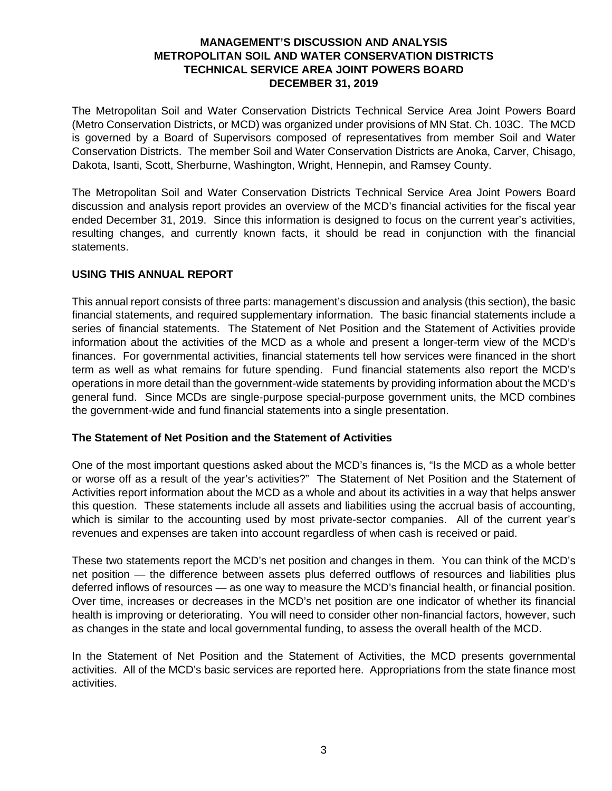## **MANAGEMENT'S DISCUSSION AND ANALYSIS METROPOLITAN SOIL AND WATER CONSERVATION DISTRICTS TECHNICAL SERVICE AREA JOINT POWERS BOARD DECEMBER 31, 2019**

The Metropolitan Soil and Water Conservation Districts Technical Service Area Joint Powers Board (Metro Conservation Districts, or MCD) was organized under provisions of MN Stat. Ch. 103C. The MCD is governed by a Board of Supervisors composed of representatives from member Soil and Water Conservation Districts. The member Soil and Water Conservation Districts are Anoka, Carver, Chisago, Dakota, Isanti, Scott, Sherburne, Washington, Wright, Hennepin, and Ramsey County.

The Metropolitan Soil and Water Conservation Districts Technical Service Area Joint Powers Board discussion and analysis report provides an overview of the MCD's financial activities for the fiscal year ended December 31, 2019. Since this information is designed to focus on the current year's activities, resulting changes, and currently known facts, it should be read in conjunction with the financial statements.

## **USING THIS ANNUAL REPORT**

This annual report consists of three parts: management's discussion and analysis (this section), the basic financial statements, and required supplementary information. The basic financial statements include a series of financial statements. The Statement of Net Position and the Statement of Activities provide information about the activities of the MCD as a whole and present a longer-term view of the MCD's finances. For governmental activities, financial statements tell how services were financed in the short term as well as what remains for future spending. Fund financial statements also report the MCD's operations in more detail than the government-wide statements by providing information about the MCD's general fund. Since MCDs are single-purpose special-purpose government units, the MCD combines the government-wide and fund financial statements into a single presentation.

## **The Statement of Net Position and the Statement of Activities**

One of the most important questions asked about the MCD's finances is, "Is the MCD as a whole better or worse off as a result of the year's activities?" The Statement of Net Position and the Statement of Activities report information about the MCD as a whole and about its activities in a way that helps answer this question. These statements include all assets and liabilities using the accrual basis of accounting, which is similar to the accounting used by most private-sector companies. All of the current year's revenues and expenses are taken into account regardless of when cash is received or paid.

These two statements report the MCD's net position and changes in them. You can think of the MCD's net position — the difference between assets plus deferred outflows of resources and liabilities plus deferred inflows of resources — as one way to measure the MCD's financial health, or financial position. Over time, increases or decreases in the MCD's net position are one indicator of whether its financial health is improving or deteriorating. You will need to consider other non-financial factors, however, such as changes in the state and local governmental funding, to assess the overall health of the MCD.

In the Statement of Net Position and the Statement of Activities, the MCD presents governmental activities. All of the MCD's basic services are reported here. Appropriations from the state finance most activities.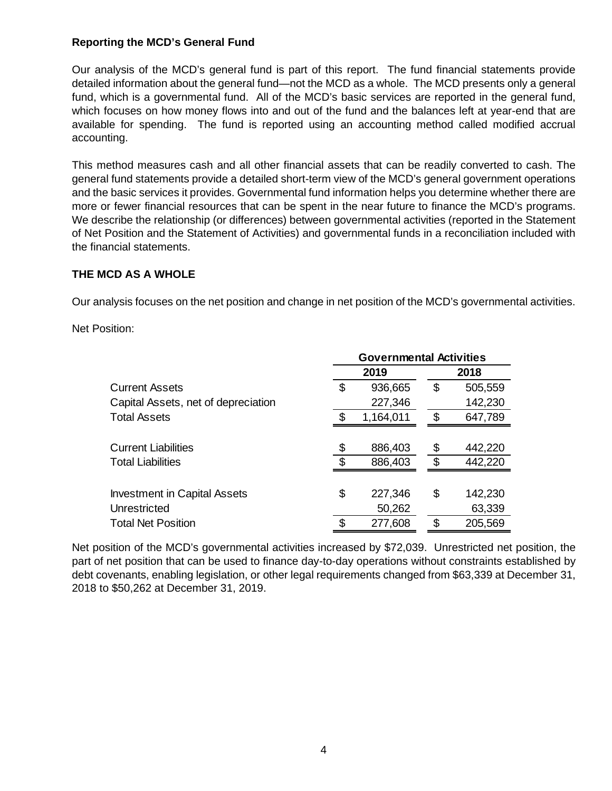## **Reporting the MCD's General Fund**

Our analysis of the MCD's general fund is part of this report. The fund financial statements provide detailed information about the general fund—not the MCD as a whole. The MCD presents only a general fund, which is a governmental fund. All of the MCD's basic services are reported in the general fund, which focuses on how money flows into and out of the fund and the balances left at year-end that are available for spending. The fund is reported using an accounting method called modified accrual accounting.

This method measures cash and all other financial assets that can be readily converted to cash. The general fund statements provide a detailed short-term view of the MCD's general government operations and the basic services it provides. Governmental fund information helps you determine whether there are more or fewer financial resources that can be spent in the near future to finance the MCD's programs. We describe the relationship (or differences) between governmental activities (reported in the Statement of Net Position and the Statement of Activities) and governmental funds in a reconciliation included with the financial statements.

# **THE MCD AS A WHOLE**

Our analysis focuses on the net position and change in net position of the MCD's governmental activities.

Net Position:

|                                     | <b>Governmental Activities</b> |           |     |         |  |  |  |  |
|-------------------------------------|--------------------------------|-----------|-----|---------|--|--|--|--|
|                                     |                                | 2019      |     | 2018    |  |  |  |  |
| <b>Current Assets</b>               | \$                             | 936,665   | \$  | 505,559 |  |  |  |  |
| Capital Assets, net of depreciation |                                | 227,346   |     | 142,230 |  |  |  |  |
| <b>Total Assets</b>                 |                                | 1,164,011 | \$  | 647,789 |  |  |  |  |
|                                     |                                |           |     |         |  |  |  |  |
| <b>Current Liabilities</b>          |                                | 886,403   | \$  | 442,220 |  |  |  |  |
| <b>Total Liabilities</b>            |                                | 886,403   | \$. | 442,220 |  |  |  |  |
|                                     |                                |           |     |         |  |  |  |  |
| <b>Investment in Capital Assets</b> | \$                             | 227,346   | \$  | 142,230 |  |  |  |  |
| Unrestricted                        |                                | 50,262    |     | 63,339  |  |  |  |  |
| <b>Total Net Position</b>           |                                | 277,608   | \$  | 205,569 |  |  |  |  |

Net position of the MCD's governmental activities increased by \$72,039. Unrestricted net position, the part of net position that can be used to finance day-to-day operations without constraints established by debt covenants, enabling legislation, or other legal requirements changed from \$63,339 at December 31, 2018 to \$50,262 at December 31, 2019.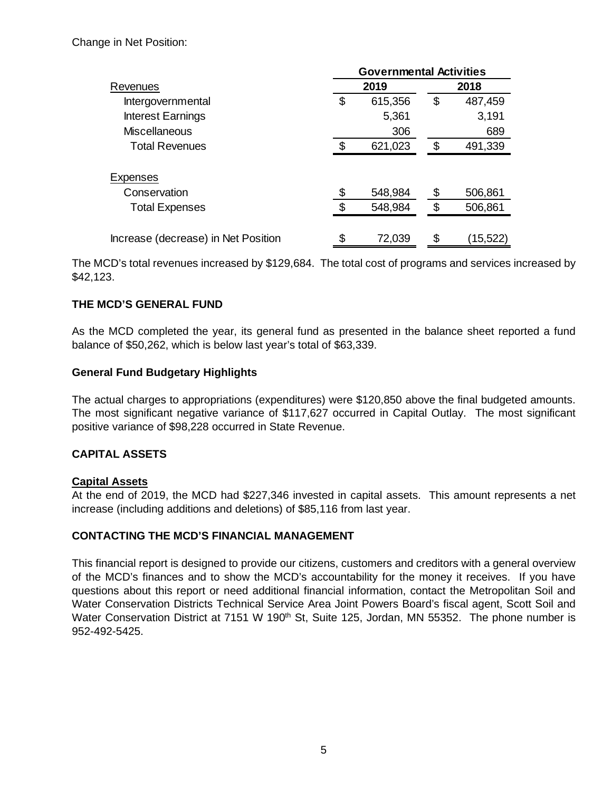Change in Net Position:

|                                     | <b>Governmental Activities</b> |         |    |           |  |  |  |  |
|-------------------------------------|--------------------------------|---------|----|-----------|--|--|--|--|
| Revenues                            |                                | 2019    |    | 2018      |  |  |  |  |
| Intergovernmental                   | S                              | 615,356 | \$ | 487,459   |  |  |  |  |
| <b>Interest Earnings</b>            |                                | 5,361   |    | 3,191     |  |  |  |  |
| <b>Miscellaneous</b>                |                                | 306     |    | 689       |  |  |  |  |
| <b>Total Revenues</b>               |                                | 621,023 | \$ | 491,339   |  |  |  |  |
| <b>Expenses</b>                     |                                |         |    |           |  |  |  |  |
| Conservation                        |                                | 548,984 | \$ | 506,861   |  |  |  |  |
| <b>Total Expenses</b>               |                                | 548,984 | \$ | 506,861   |  |  |  |  |
|                                     |                                |         |    |           |  |  |  |  |
| Increase (decrease) in Net Position | \$                             | 72,039  | \$ | (15, 522) |  |  |  |  |

The MCD's total revenues increased by \$129,684. The total cost of programs and services increased by \$42,123.

## **THE MCD'S GENERAL FUND**

As the MCD completed the year, its general fund as presented in the balance sheet reported a fund balance of \$50,262, which is below last year's total of \$63,339.

## **General Fund Budgetary Highlights**

The actual charges to appropriations (expenditures) were \$120,850 above the final budgeted amounts. The most significant negative variance of \$117,627 occurred in Capital Outlay. The most significant positive variance of \$98,228 occurred in State Revenue.

## **CAPITAL ASSETS**

## **Capital Assets**

At the end of 2019, the MCD had \$227,346 invested in capital assets. This amount represents a net increase (including additions and deletions) of \$85,116 from last year.

## **CONTACTING THE MCD'S FINANCIAL MANAGEMENT**

This financial report is designed to provide our citizens, customers and creditors with a general overview of the MCD's finances and to show the MCD's accountability for the money it receives. If you have questions about this report or need additional financial information, contact the Metropolitan Soil and Water Conservation Districts Technical Service Area Joint Powers Board's fiscal agent, Scott Soil and Water Conservation District at 7151 W 190<sup>th</sup> St, Suite 125, Jordan, MN 55352. The phone number is 952-492-5425.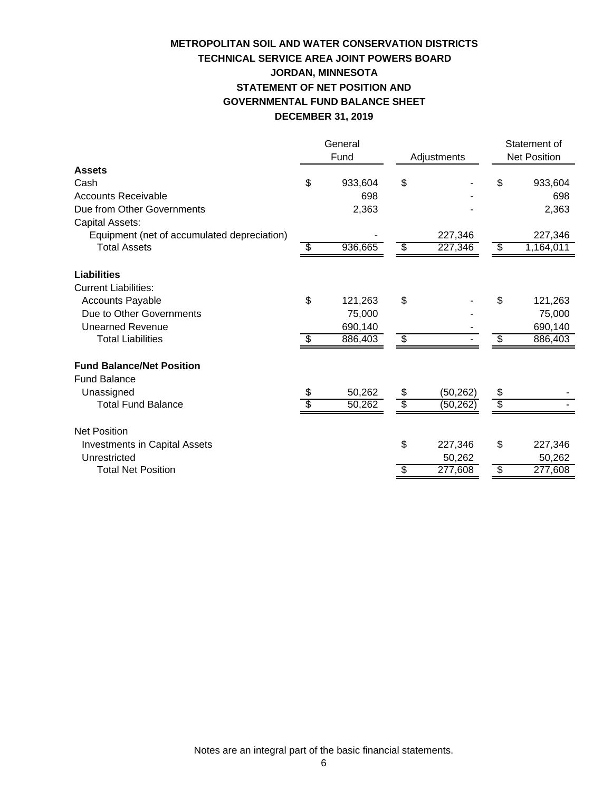# **TECHNICAL SERVICE AREA JOINT POWERS BOARD METROPOLITAN SOIL AND WATER CONSERVATION DISTRICTS JORDAN, MINNESOTA STATEMENT OF NET POSITION AND GOVERNMENTAL FUND BALANCE SHEET DECEMBER 31, 2019**

|                                             | General<br>Fund |         |                 | Adjustments | Statement of<br><b>Net Position</b>  |           |
|---------------------------------------------|-----------------|---------|-----------------|-------------|--------------------------------------|-----------|
| <b>Assets</b>                               |                 |         |                 |             |                                      |           |
| Cash                                        | \$              | 933,604 | \$              |             | \$                                   | 933,604   |
| <b>Accounts Receivable</b>                  |                 | 698     |                 |             |                                      | 698       |
| Due from Other Governments                  |                 | 2,363   |                 |             |                                      | 2,363     |
| Capital Assets:                             |                 |         |                 |             |                                      |           |
| Equipment (net of accumulated depreciation) |                 |         |                 | 227,346     |                                      | 227,346   |
| <b>Total Assets</b>                         | \$              | 936,665 | \$              | 227,346     | \$                                   | 1,164,011 |
|                                             |                 |         |                 |             |                                      |           |
| Liabilities                                 |                 |         |                 |             |                                      |           |
| <b>Current Liabilities:</b>                 |                 |         |                 |             |                                      |           |
| <b>Accounts Payable</b>                     | \$              | 121,263 | \$              |             | \$                                   | 121,263   |
| Due to Other Governments                    |                 | 75,000  |                 |             |                                      | 75,000    |
| <b>Unearned Revenue</b>                     |                 | 690,140 |                 |             |                                      | 690,140   |
| <b>Total Liabilities</b>                    | S               | 886,403 | $\overline{\$}$ |             | \$                                   | 886,403   |
|                                             |                 |         |                 |             |                                      |           |
| <b>Fund Balance/Net Position</b>            |                 |         |                 |             |                                      |           |
| <b>Fund Balance</b>                         |                 |         |                 |             |                                      |           |
| Unassigned                                  | \$              | 50,262  | \$              | (50, 262)   | \$                                   |           |
| <b>Total Fund Balance</b>                   | \$              | 50,262  | $\overline{\$}$ | (50, 262)   | $\overline{\$}$                      |           |
|                                             |                 |         |                 |             |                                      |           |
| <b>Net Position</b>                         |                 |         |                 |             |                                      |           |
| <b>Investments in Capital Assets</b>        |                 |         | \$              | 227,346     | \$                                   | 227,346   |
| Unrestricted                                |                 |         |                 | 50,262      |                                      | 50,262    |
| <b>Total Net Position</b>                   |                 |         | \$              | 277,608     | $\overline{\boldsymbol{\mathsf{z}}}$ | 277,608   |
|                                             |                 |         |                 |             |                                      |           |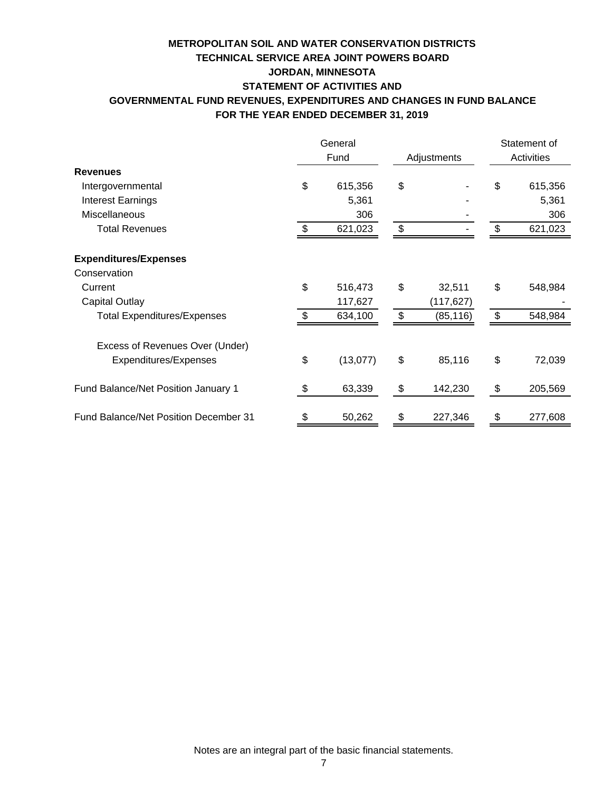# **FOR THE YEAR ENDED DECEMBER 31, 2019 TECHNICAL SERVICE AREA JOINT POWERS BOARD METROPOLITAN SOIL AND WATER CONSERVATION DISTRICTS JORDAN, MINNESOTA STATEMENT OF ACTIVITIES AND GOVERNMENTAL FUND REVENUES, EXPENDITURES AND CHANGES IN FUND BALANCE**

|                                       |     | General<br>Fund | Adjustments    |                | Statement of<br>Activities |  |
|---------------------------------------|-----|-----------------|----------------|----------------|----------------------------|--|
| <b>Revenues</b>                       |     |                 |                |                |                            |  |
| Intergovernmental                     | \$  | 615,356         | \$             | \$             | 615,356                    |  |
| <b>Interest Earnings</b>              |     | 5,361           |                |                | 5,361                      |  |
| Miscellaneous                         |     | 306             |                |                | 306                        |  |
| <b>Total Revenues</b>                 | \$. | 621,023         | \$             | \$             | 621,023                    |  |
| <b>Expenditures/Expenses</b>          |     |                 |                |                |                            |  |
| Conservation                          |     |                 |                |                |                            |  |
| Current                               | \$  | 516,473         | \$<br>32,511   | \$             | 548,984                    |  |
| Capital Outlay                        |     | 117,627         | (117,627)      |                |                            |  |
| <b>Total Expenditures/Expenses</b>    | \$. | 634,100         | \$<br>(85,116) | $\mathfrak{S}$ | 548,984                    |  |
| Excess of Revenues Over (Under)       |     |                 |                |                |                            |  |
| Expenditures/Expenses                 | \$  | (13,077)        | \$<br>85,116   | \$             | 72,039                     |  |
| Fund Balance/Net Position January 1   | \$  | 63,339          | \$<br>142,230  | \$             | 205,569                    |  |
| Fund Balance/Net Position December 31 | \$  | 50,262          | \$<br>227,346  | \$             | 277,608                    |  |

Notes are an integral part of the basic financial statements.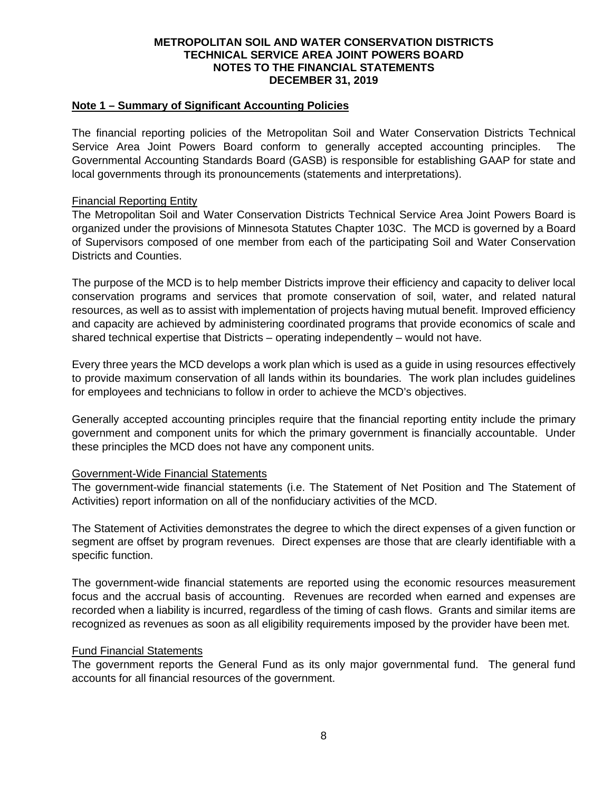#### **Note 1 – Summary of Significant Accounting Policies**

The financial reporting policies of the Metropolitan Soil and Water Conservation Districts Technical Service Area Joint Powers Board conform to generally accepted accounting principles. The Governmental Accounting Standards Board (GASB) is responsible for establishing GAAP for state and local governments through its pronouncements (statements and interpretations).

#### Financial Reporting Entity

The Metropolitan Soil and Water Conservation Districts Technical Service Area Joint Powers Board is organized under the provisions of Minnesota Statutes Chapter 103C. The MCD is governed by a Board of Supervisors composed of one member from each of the participating Soil and Water Conservation Districts and Counties.

The purpose of the MCD is to help member Districts improve their efficiency and capacity to deliver local conservation programs and services that promote conservation of soil, water, and related natural resources, as well as to assist with implementation of projects having mutual benefit. Improved efficiency and capacity are achieved by administering coordinated programs that provide economics of scale and shared technical expertise that Districts – operating independently – would not have.

Every three years the MCD develops a work plan which is used as a guide in using resources effectively to provide maximum conservation of all lands within its boundaries. The work plan includes guidelines for employees and technicians to follow in order to achieve the MCD's objectives.

Generally accepted accounting principles require that the financial reporting entity include the primary government and component units for which the primary government is financially accountable. Under these principles the MCD does not have any component units.

#### Government-Wide Financial Statements

The government-wide financial statements (i.e. The Statement of Net Position and The Statement of Activities) report information on all of the nonfiduciary activities of the MCD.

The Statement of Activities demonstrates the degree to which the direct expenses of a given function or segment are offset by program revenues. Direct expenses are those that are clearly identifiable with a specific function.

The government-wide financial statements are reported using the economic resources measurement focus and the accrual basis of accounting. Revenues are recorded when earned and expenses are recorded when a liability is incurred, regardless of the timing of cash flows. Grants and similar items are recognized as revenues as soon as all eligibility requirements imposed by the provider have been met.

#### Fund Financial Statements

The government reports the General Fund as its only major governmental fund. The general fund accounts for all financial resources of the government.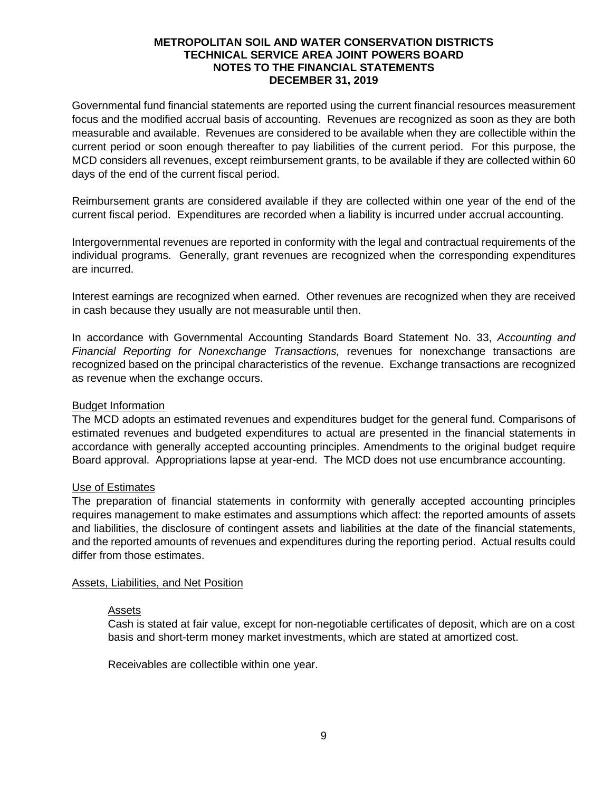Governmental fund financial statements are reported using the current financial resources measurement focus and the modified accrual basis of accounting. Revenues are recognized as soon as they are both measurable and available. Revenues are considered to be available when they are collectible within the current period or soon enough thereafter to pay liabilities of the current period. For this purpose, the MCD considers all revenues, except reimbursement grants, to be available if they are collected within 60 days of the end of the current fiscal period.

Reimbursement grants are considered available if they are collected within one year of the end of the current fiscal period. Expenditures are recorded when a liability is incurred under accrual accounting.

Intergovernmental revenues are reported in conformity with the legal and contractual requirements of the individual programs. Generally, grant revenues are recognized when the corresponding expenditures are incurred.

Interest earnings are recognized when earned. Other revenues are recognized when they are received in cash because they usually are not measurable until then.

In accordance with Governmental Accounting Standards Board Statement No. 33, *Accounting and Financial Reporting for Nonexchange Transactions,* revenues for nonexchange transactions are recognized based on the principal characteristics of the revenue. Exchange transactions are recognized as revenue when the exchange occurs.

## Budget Information

The MCD adopts an estimated revenues and expenditures budget for the general fund. Comparisons of estimated revenues and budgeted expenditures to actual are presented in the financial statements in accordance with generally accepted accounting principles. Amendments to the original budget require Board approval. Appropriations lapse at year-end. The MCD does not use encumbrance accounting.

#### Use of Estimates

The preparation of financial statements in conformity with generally accepted accounting principles requires management to make estimates and assumptions which affect: the reported amounts of assets and liabilities, the disclosure of contingent assets and liabilities at the date of the financial statements, and the reported amounts of revenues and expenditures during the reporting period. Actual results could differ from those estimates.

#### Assets, Liabilities, and Net Position

#### Assets

Cash is stated at fair value, except for non-negotiable certificates of deposit, which are on a cost basis and short-term money market investments, which are stated at amortized cost.

Receivables are collectible within one year.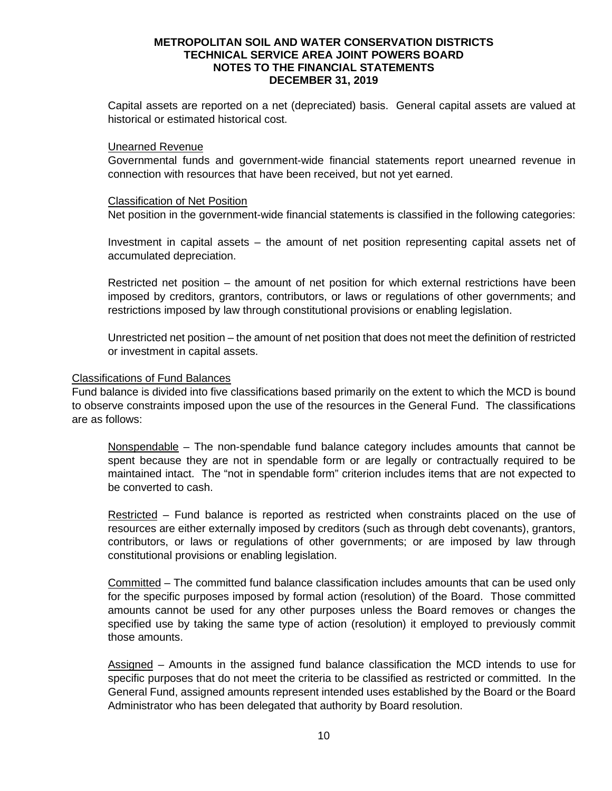Capital assets are reported on a net (depreciated) basis. General capital assets are valued at historical or estimated historical cost.

#### Unearned Revenue

Governmental funds and government-wide financial statements report unearned revenue in connection with resources that have been received, but not yet earned.

#### Classification of Net Position

Net position in the government-wide financial statements is classified in the following categories:

Investment in capital assets – the amount of net position representing capital assets net of accumulated depreciation.

Restricted net position – the amount of net position for which external restrictions have been imposed by creditors, grantors, contributors, or laws or regulations of other governments; and restrictions imposed by law through constitutional provisions or enabling legislation.

Unrestricted net position – the amount of net position that does not meet the definition of restricted or investment in capital assets.

#### Classifications of Fund Balances

Fund balance is divided into five classifications based primarily on the extent to which the MCD is bound to observe constraints imposed upon the use of the resources in the General Fund. The classifications are as follows:

Nonspendable – The non-spendable fund balance category includes amounts that cannot be spent because they are not in spendable form or are legally or contractually required to be maintained intact. The "not in spendable form" criterion includes items that are not expected to be converted to cash.

Restricted – Fund balance is reported as restricted when constraints placed on the use of resources are either externally imposed by creditors (such as through debt covenants), grantors, contributors, or laws or regulations of other governments; or are imposed by law through constitutional provisions or enabling legislation.

Committed – The committed fund balance classification includes amounts that can be used only for the specific purposes imposed by formal action (resolution) of the Board. Those committed amounts cannot be used for any other purposes unless the Board removes or changes the specified use by taking the same type of action (resolution) it employed to previously commit those amounts.

Assigned – Amounts in the assigned fund balance classification the MCD intends to use for specific purposes that do not meet the criteria to be classified as restricted or committed. In the General Fund, assigned amounts represent intended uses established by the Board or the Board Administrator who has been delegated that authority by Board resolution.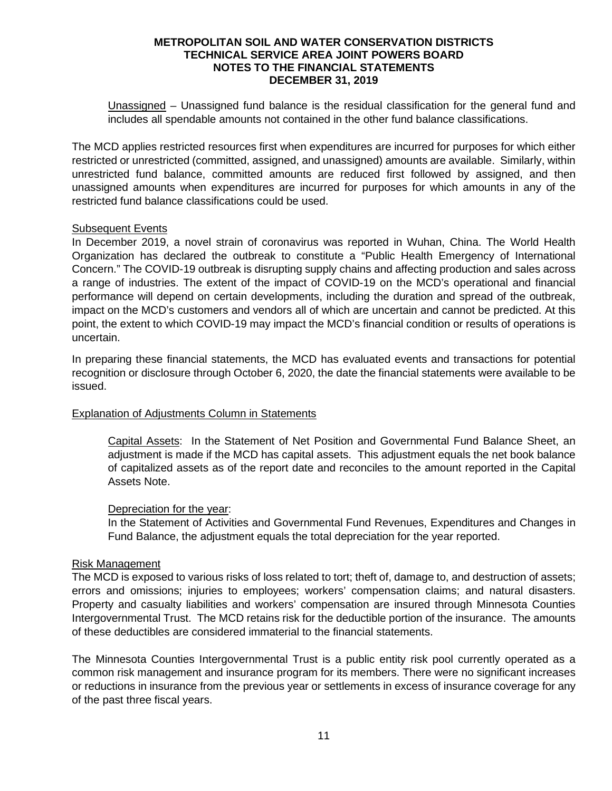Unassigned – Unassigned fund balance is the residual classification for the general fund and includes all spendable amounts not contained in the other fund balance classifications.

The MCD applies restricted resources first when expenditures are incurred for purposes for which either restricted or unrestricted (committed, assigned, and unassigned) amounts are available. Similarly, within unrestricted fund balance, committed amounts are reduced first followed by assigned, and then unassigned amounts when expenditures are incurred for purposes for which amounts in any of the restricted fund balance classifications could be used.

## Subsequent Events

In December 2019, a novel strain of coronavirus was reported in Wuhan, China. The World Health Organization has declared the outbreak to constitute a "Public Health Emergency of International Concern." The COVID-19 outbreak is disrupting supply chains and affecting production and sales across a range of industries. The extent of the impact of COVID-19 on the MCD's operational and financial performance will depend on certain developments, including the duration and spread of the outbreak, impact on the MCD's customers and vendors all of which are uncertain and cannot be predicted. At this point, the extent to which COVID-19 may impact the MCD's financial condition or results of operations is uncertain.

In preparing these financial statements, the MCD has evaluated events and transactions for potential recognition or disclosure through October 6, 2020, the date the financial statements were available to be issued.

## Explanation of Adjustments Column in Statements

Capital Assets: In the Statement of Net Position and Governmental Fund Balance Sheet, an adjustment is made if the MCD has capital assets. This adjustment equals the net book balance of capitalized assets as of the report date and reconciles to the amount reported in the Capital Assets Note.

#### Depreciation for the year:

In the Statement of Activities and Governmental Fund Revenues, Expenditures and Changes in Fund Balance, the adjustment equals the total depreciation for the year reported.

#### Risk Management

The MCD is exposed to various risks of loss related to tort; theft of, damage to, and destruction of assets; errors and omissions; injuries to employees; workers' compensation claims; and natural disasters. Property and casualty liabilities and workers' compensation are insured through Minnesota Counties Intergovernmental Trust. The MCD retains risk for the deductible portion of the insurance. The amounts of these deductibles are considered immaterial to the financial statements.

The Minnesota Counties Intergovernmental Trust is a public entity risk pool currently operated as a common risk management and insurance program for its members. There were no significant increases or reductions in insurance from the previous year or settlements in excess of insurance coverage for any of the past three fiscal years.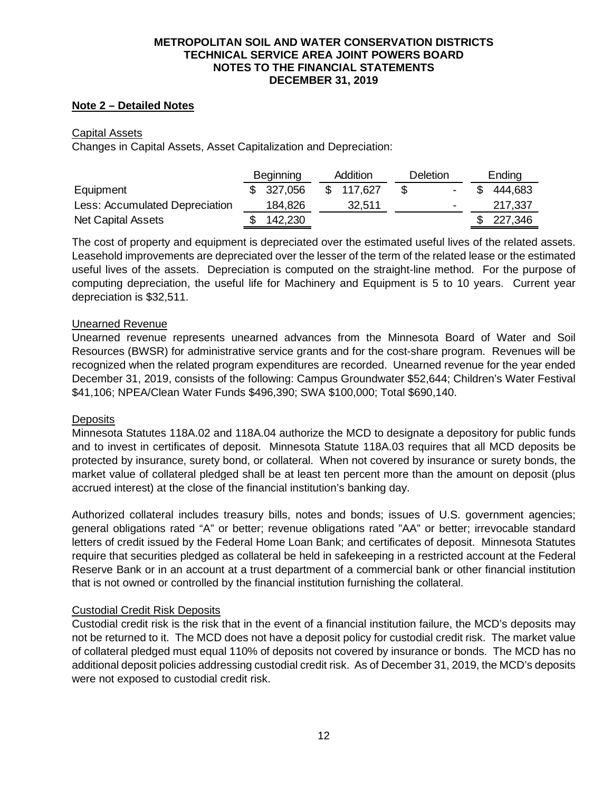## **Note 2 – Detailed Notes**

## Capital Assets

Changes in Capital Assets, Asset Capitalization and Depreciation:

|                                | Beginning |            | Addition |           | Deletion |                | Ending |           |
|--------------------------------|-----------|------------|----------|-----------|----------|----------------|--------|-----------|
| Equipment                      |           | \$ 327,056 |          | \$117.627 |          | $\blacksquare$ |        | 444.683   |
| Less: Accumulated Depreciation |           | 184,826    |          | 32.511    |          | $\blacksquare$ |        | 217,337   |
| <b>Net Capital Assets</b>      |           | 142,230    |          |           |          |                |        | \$227,346 |

The cost of property and equipment is depreciated over the estimated useful lives of the related assets. Leasehold improvements are depreciated over the lesser of the term of the related lease or the estimated useful lives of the assets. Depreciation is computed on the straight-line method. For the purpose of computing depreciation, the useful life for Machinery and Equipment is 5 to 10 years. Current year depreciation is \$32,511.

#### Unearned Revenue

Unearned revenue represents unearned advances from the Minnesota Board of Water and Soil Resources (BWSR) for administrative service grants and for the cost-share program. Revenues will be recognized when the related program expenditures are recorded. Unearned revenue for the year ended December 31, 2019, consists of the following: Campus Groundwater \$52,644; Children's Water Festival \$41,106; NPEA/Clean Water Funds \$496,390; SWA \$100,000; Total \$690,140.

#### **Deposits**

Minnesota Statutes 118A.02 and 118A.04 authorize the MCD to designate a depository for public funds and to invest in certificates of deposit. Minnesota Statute 118A.03 requires that all MCD deposits be protected by insurance, surety bond, or collateral. When not covered by insurance or surety bonds, the market value of collateral pledged shall be at least ten percent more than the amount on deposit (plus accrued interest) at the close of the financial institution's banking day.

Authorized collateral includes treasury bills, notes and bonds; issues of U.S. government agencies; general obligations rated "A" or better; revenue obligations rated "AA" or better; irrevocable standard letters of credit issued by the Federal Home Loan Bank; and certificates of deposit. Minnesota Statutes require that securities pledged as collateral be held in safekeeping in a restricted account at the Federal Reserve Bank or in an account at a trust department of a commercial bank or other financial institution that is not owned or controlled by the financial institution furnishing the collateral.

## Custodial Credit Risk Deposits

Custodial credit risk is the risk that in the event of a financial institution failure, the MCD's deposits may not be returned to it. The MCD does not have a deposit policy for custodial credit risk. The market value of collateral pledged must equal 110% of deposits not covered by insurance or bonds. The MCD has no additional deposit policies addressing custodial credit risk. As of December 31, 2019, the MCD's deposits were not exposed to custodial credit risk.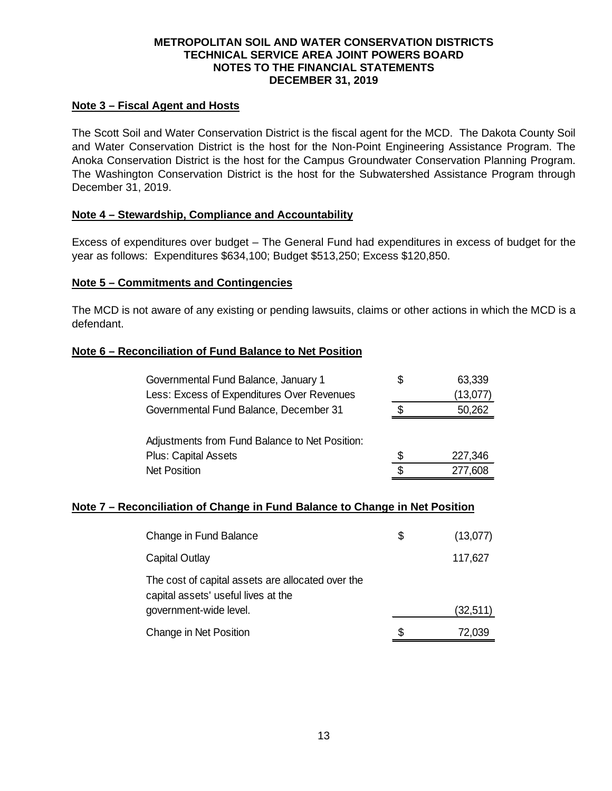## **Note 3 – Fiscal Agent and Hosts**

The Scott Soil and Water Conservation District is the fiscal agent for the MCD. The Dakota County Soil and Water Conservation District is the host for the Non-Point Engineering Assistance Program. The Anoka Conservation District is the host for the Campus Groundwater Conservation Planning Program. The Washington Conservation District is the host for the Subwatershed Assistance Program through December 31, 2019.

## **Note 4 – Stewardship, Compliance and Accountability**

Excess of expenditures over budget – The General Fund had expenditures in excess of budget for the year as follows: Expenditures \$634,100; Budget \$513,250; Excess \$120,850.

#### **Note 5 – Commitments and Contingencies**

The MCD is not aware of any existing or pending lawsuits, claims or other actions in which the MCD is a defendant.

## **Note 6 – Reconciliation of Fund Balance to Net Position**

| Governmental Fund Balance, January 1           | S  | 63,339   |
|------------------------------------------------|----|----------|
| Less: Excess of Expenditures Over Revenues     |    | (13,077) |
| Governmental Fund Balance, December 31         |    | 50,262   |
|                                                |    |          |
| Adjustments from Fund Balance to Net Position: |    |          |
| <b>Plus: Capital Assets</b>                    | S. | 227,346  |
| <b>Net Position</b>                            | ß. | 277,608  |

## **Note 7 – Reconciliation of Change in Fund Balance to Change in Net Position**

| Change in Fund Balance                                                                   | \$ | (13,077)  |
|------------------------------------------------------------------------------------------|----|-----------|
| Capital Outlay                                                                           |    | 117,627   |
| The cost of capital assets are allocated over the<br>capital assets' useful lives at the |    |           |
| government-wide level.                                                                   |    | (32, 511) |
| Change in Net Position                                                                   | S  | 72.039    |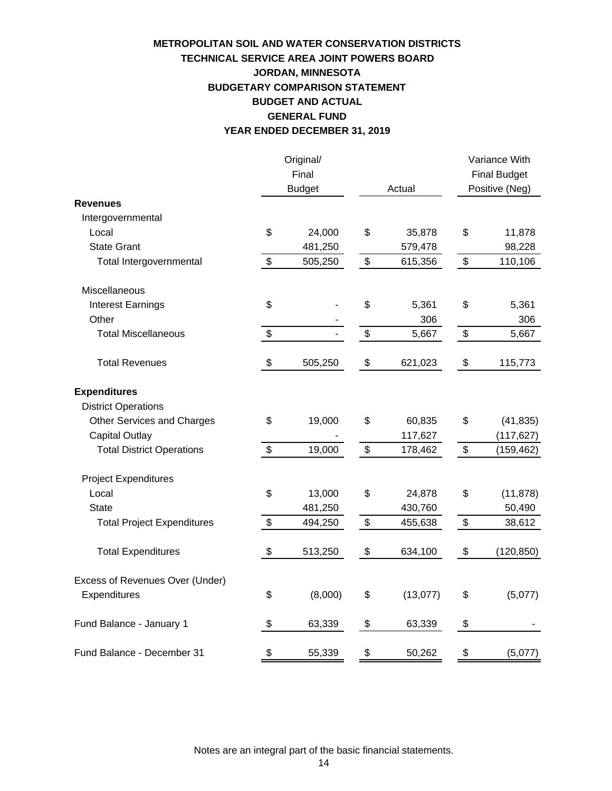# **YEAR ENDED DECEMBER 31, 2019 TECHNICAL SERVICE AREA JOINT POWERS BOARD METROPOLITAN SOIL AND WATER CONSERVATION DISTRICTS JORDAN, MINNESOTA BUDGETARY COMPARISON STATEMENT BUDGET AND ACTUAL GENERAL FUND**

|                                   | Original/     |                |                           | Variance With       |  |
|-----------------------------------|---------------|----------------|---------------------------|---------------------|--|
|                                   | Final         |                |                           | <b>Final Budget</b> |  |
|                                   | <b>Budget</b> | Actual         | Positive (Neg)            |                     |  |
| <b>Revenues</b>                   |               |                |                           |                     |  |
| Intergovernmental                 |               |                |                           |                     |  |
| Local                             | \$<br>24,000  | \$<br>35,878   | \$                        | 11,878              |  |
| <b>State Grant</b>                | 481,250       | 579,478        |                           | 98,228              |  |
| Total Intergovernmental           | \$<br>505,250 | \$<br>615,356  | \$                        | 110,106             |  |
| Miscellaneous                     |               |                |                           |                     |  |
| <b>Interest Earnings</b>          | \$            | \$<br>5,361    | \$                        | 5,361               |  |
| Other                             |               | 306            |                           | 306                 |  |
| <b>Total Miscellaneous</b>        | \$            | \$<br>5,667    | $\boldsymbol{\mathsf{S}}$ | 5,667               |  |
| <b>Total Revenues</b>             | \$<br>505,250 | \$<br>621,023  | \$                        | 115,773             |  |
| <b>Expenditures</b>               |               |                |                           |                     |  |
| <b>District Operations</b>        |               |                |                           |                     |  |
| <b>Other Services and Charges</b> | \$<br>19,000  | \$<br>60,835   | \$                        | (41, 835)           |  |
| <b>Capital Outlay</b>             |               | 117,627        |                           | (117, 627)          |  |
| <b>Total District Operations</b>  | \$<br>19,000  | \$<br>178,462  | \$                        | (159, 462)          |  |
| <b>Project Expenditures</b>       |               |                |                           |                     |  |
| Local                             | \$<br>13,000  | \$<br>24,878   | \$                        | (11, 878)           |  |
| <b>State</b>                      | 481,250       | 430,760        |                           | 50,490              |  |
| <b>Total Project Expenditures</b> | \$<br>494,250 | \$<br>455,638  | \$                        | 38,612              |  |
| <b>Total Expenditures</b>         | \$<br>513,250 | \$<br>634,100  | \$                        | (120, 850)          |  |
| Excess of Revenues Over (Under)   |               |                |                           |                     |  |
| Expenditures                      | \$<br>(8,000) | \$<br>(13,077) | \$                        | (5,077)             |  |
| Fund Balance - January 1          | \$<br>63,339  | \$<br>63,339   | \$                        |                     |  |
| Fund Balance - December 31        | \$<br>55,339  | \$<br>50,262   | \$                        | (5,077)             |  |

Notes are an integral part of the basic financial statements.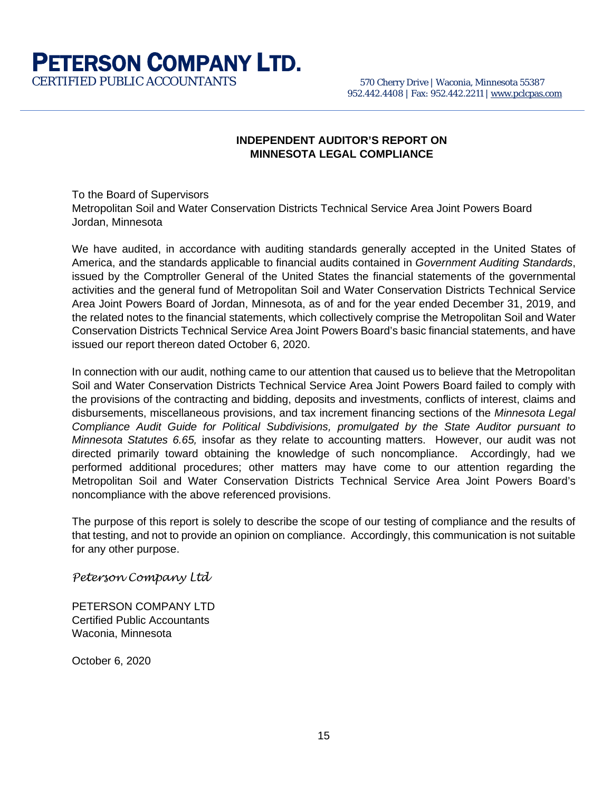# **PETERSON COMPANY LTD.**<br>CERTIFIED PUBLIC ACCOUNTANTS 570 Cherry Drive | Waconia, Minnesota 55387

# **INDEPENDENT AUDITOR'S REPORT ON MINNESOTA LEGAL COMPLIANCE**

To the Board of Supervisors Metropolitan Soil and Water Conservation Districts Technical Service Area Joint Powers Board Jordan, Minnesota

We have audited, in accordance with auditing standards generally accepted in the United States of America, and the standards applicable to financial audits contained in *Government Auditing Standards*, issued by the Comptroller General of the United States the financial statements of the governmental activities and the general fund of Metropolitan Soil and Water Conservation Districts Technical Service Area Joint Powers Board of Jordan, Minnesota, as of and for the year ended December 31, 2019, and the related notes to the financial statements, which collectively comprise the Metropolitan Soil and Water Conservation Districts Technical Service Area Joint Powers Board's basic financial statements, and have issued our report thereon dated October 6, 2020.

In connection with our audit, nothing came to our attention that caused us to believe that the Metropolitan Soil and Water Conservation Districts Technical Service Area Joint Powers Board failed to comply with the provisions of the contracting and bidding, deposits and investments, conflicts of interest, claims and disbursements, miscellaneous provisions, and tax increment financing sections of the *Minnesota Legal Compliance Audit Guide for Political Subdivisions, promulgated by the State Auditor pursuant to Minnesota Statutes 6.65,* insofar as they relate to accounting matters. However, our audit was not directed primarily toward obtaining the knowledge of such noncompliance. Accordingly, had we performed additional procedures; other matters may have come to our attention regarding the Metropolitan Soil and Water Conservation Districts Technical Service Area Joint Powers Board's noncompliance with the above referenced provisions.

The purpose of this report is solely to describe the scope of our testing of compliance and the results of that testing, and not to provide an opinion on compliance. Accordingly, this communication is not suitable for any other purpose.

*Peterson Company Ltd*

PETERSON COMPANY LTD Certified Public Accountants Waconia, Minnesota

October 6, 2020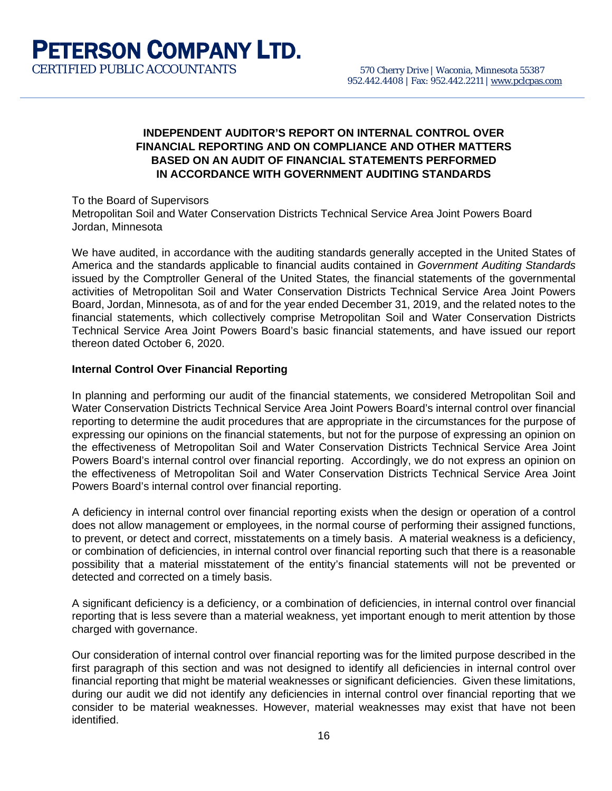## **INDEPENDENT AUDITOR'S REPORT ON INTERNAL CONTROL OVER FINANCIAL REPORTING AND ON COMPLIANCE AND OTHER MATTERS BASED ON AN AUDIT OF FINANCIAL STATEMENTS PERFORMED IN ACCORDANCE WITH GOVERNMENT AUDITING STANDARDS**

To the Board of Supervisors Metropolitan Soil and Water Conservation Districts Technical Service Area Joint Powers Board Jordan, Minnesota

We have audited, in accordance with the auditing standards generally accepted in the United States of America and the standards applicable to financial audits contained in *Government Auditing Standards*  issued by the Comptroller General of the United States*,* the financial statements of the governmental activities of Metropolitan Soil and Water Conservation Districts Technical Service Area Joint Powers Board, Jordan, Minnesota, as of and for the year ended December 31, 2019, and the related notes to the financial statements, which collectively comprise Metropolitan Soil and Water Conservation Districts Technical Service Area Joint Powers Board's basic financial statements, and have issued our report thereon dated October 6, 2020.

#### **Internal Control Over Financial Reporting**

In planning and performing our audit of the financial statements, we considered Metropolitan Soil and Water Conservation Districts Technical Service Area Joint Powers Board's internal control over financial reporting to determine the audit procedures that are appropriate in the circumstances for the purpose of expressing our opinions on the financial statements, but not for the purpose of expressing an opinion on the effectiveness of Metropolitan Soil and Water Conservation Districts Technical Service Area Joint Powers Board's internal control over financial reporting. Accordingly, we do not express an opinion on the effectiveness of Metropolitan Soil and Water Conservation Districts Technical Service Area Joint Powers Board's internal control over financial reporting.

A deficiency in internal control over financial reporting exists when the design or operation of a control does not allow management or employees, in the normal course of performing their assigned functions, to prevent, or detect and correct, misstatements on a timely basis. A material weakness is a deficiency, or combination of deficiencies, in internal control over financial reporting such that there is a reasonable possibility that a material misstatement of the entity's financial statements will not be prevented or detected and corrected on a timely basis.

A significant deficiency is a deficiency, or a combination of deficiencies, in internal control over financial reporting that is less severe than a material weakness, yet important enough to merit attention by those charged with governance.

Our consideration of internal control over financial reporting was for the limited purpose described in the first paragraph of this section and was not designed to identify all deficiencies in internal control over financial reporting that might be material weaknesses or significant deficiencies. Given these limitations, during our audit we did not identify any deficiencies in internal control over financial reporting that we consider to be material weaknesses. However, material weaknesses may exist that have not been identified.